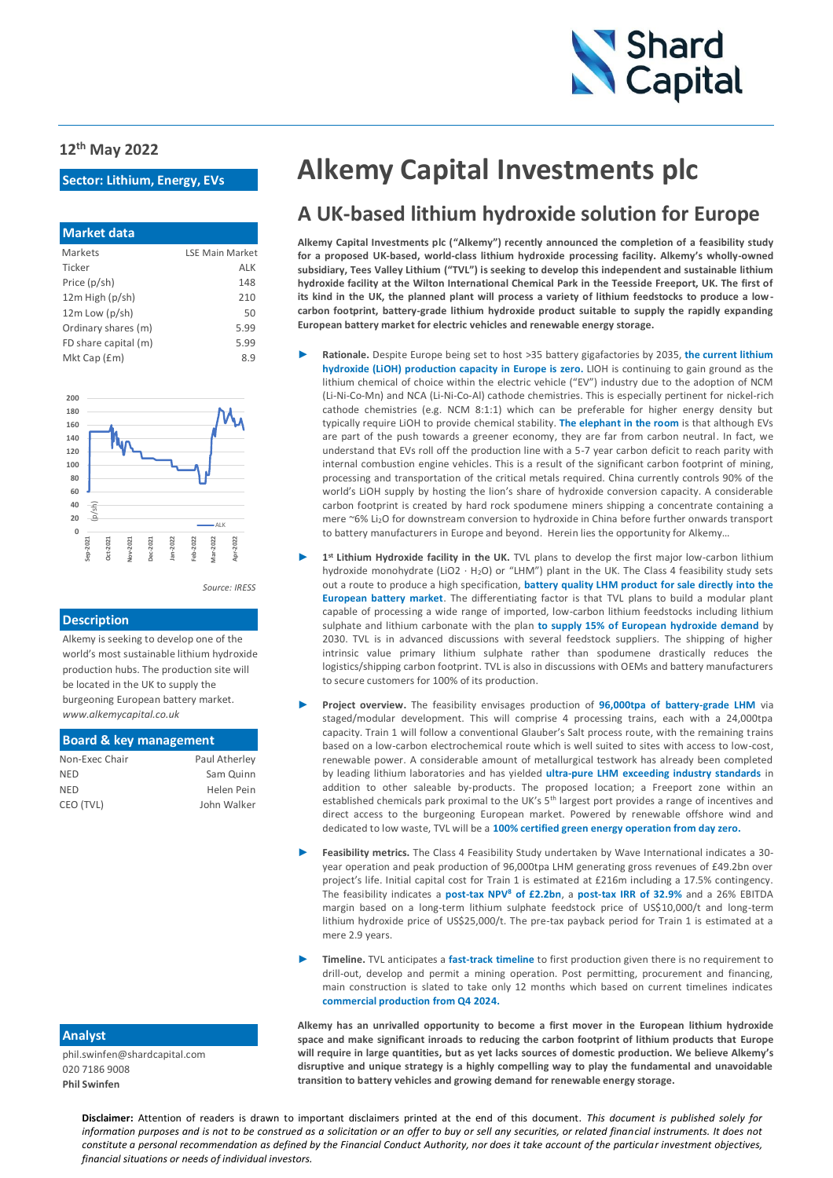

#### **12th May 2022**

### **Sector: Lithium, Energy, EVs**

| <b>Market data</b>   |                        |
|----------------------|------------------------|
| Markets              | <b>ISE Main Market</b> |
| Ticker               | ALK                    |
| Price (p/sh)         | 148                    |
| 12m High (p/sh)      | 210                    |
| $12m$ Low ( $p$ /sh) | 50                     |
| Ordinary shares (m)  | 5.99                   |
| FD share capital (m) | 5.99                   |
| Mkt Cap (£m)         | 8.9                    |



#### **Description**

Alkemy is seeking to develop one of the world's most sustainable lithium hydroxide production hubs. The production site will be located in the UK to supply the burgeoning European battery market. *www.alkemycapital.co.uk*

### **Board & key management**

| Paul Atherley |
|---------------|
| Sam Quinn     |
| Helen Pein    |
| John Walker   |
|               |

# **Alkemy Capital Investments plc**

### **A UK-based lithium hydroxide solution for Europe**

**Alkemy Capital Investments plc ("Alkemy") recently announced the completion of a feasibility study for a proposed UK-based, world-class lithium hydroxide processing facility. Alkemy's wholly-owned subsidiary, Tees Valley Lithium ("TVL") is seeking to develop this independent and sustainable lithium hydroxide facility at the Wilton International Chemical Park in the Teesside Freeport, UK. The first of its kind in the UK, the planned plant will process a variety of lithium feedstocks to produce a lowcarbon footprint, battery-grade lithium hydroxide product suitable to supply the rapidly expanding European battery market for electric vehicles and renewable energy storage.**

- ► **Rationale.** Despite Europe being set to host >35 battery gigafactories by 2035, **the current lithium hydroxide (LiOH) production capacity in Europe is zero.** LIOH is continuing to gain ground as the lithium chemical of choice within the electric vehicle ("EV") industry due to the adoption of NCM (Li-Ni-Co-Mn) and NCA (Li-Ni-Co-Al) cathode chemistries. This is especially pertinent for nickel-rich cathode chemistries (e.g. NCM 8:1:1) which can be preferable for higher energy density but typically require LiOH to provide chemical stability. **The elephant in the room** is that although EVs are part of the push towards a greener economy, they are far from carbon neutral. In fact, we understand that EVs roll off the production line with a 5-7 year carbon deficit to reach parity with internal combustion engine vehicles. This is a result of the significant carbon footprint of mining, processing and transportation of the critical metals required. China currently controls 90% of the world's LiOH supply by hosting the lion's share of hydroxide conversion capacity. A considerable carbon footprint is created by hard rock spodumene miners shipping a concentrate containing a mere ~6% Li<sub>2</sub>O for downstream conversion to hydroxide in China before further onwards transport to battery manufacturers in Europe and beyond. Herein lies the opportunity for Alkemy…
- 1<sup>st</sup> Lithium Hydroxide facility in the UK. TVL plans to develop the first major low-carbon lithium hydroxide monohydrate (LiO2 · H<sub>2</sub>O) or "LHM") plant in the UK. The Class 4 feasibility study sets out a route to produce a high specification, **battery quality LHM product for sale directly into the European battery market**. The differentiating factor is that TVL plans to build a modular plant capable of processing a wide range of imported, low-carbon lithium feedstocks including lithium sulphate and lithium carbonate with the plan **to supply 15% of European hydroxide demand** by 2030. TVL is in advanced discussions with several feedstock suppliers. The shipping of higher intrinsic value primary lithium sulphate rather than spodumene drastically reduces the logistics/shipping carbon footprint. TVL is also in discussions with OEMs and battery manufacturers to secure customers for 100% of its production.
- ► **Project overview.** The feasibility envisages production of **96,000tpa of battery-grade LHM** via staged/modular development. This will comprise 4 processing trains, each with a 24,000tpa capacity. Train 1 will follow a conventional Glauber's Salt process route, with the remaining trains based on a low-carbon electrochemical route which is well suited to sites with access to low-cost, renewable power. A considerable amount of metallurgical testwork has already been completed by leading lithium laboratories and has yielded **ultra-pure LHM exceeding industry standards** in addition to other saleable by-products. The proposed location; a Freeport zone within an established chemicals park proximal to the UK's 5<sup>th</sup> largest port provides a range of incentives and direct access to the burgeoning European market. Powered by renewable offshore wind and dedicated to low waste, TVL will be a **100% certified green energy operation from day zero.**
- ► **Feasibility metrics.** The Class 4 Feasibility Study undertaken by Wave International indicates a 30 year operation and peak production of 96,000tpa LHM generating gross revenues of £49.2bn over project's life. Initial capital cost for Train 1 is estimated at £216m including a 17.5% contingency. The feasibility indicates a **post-tax NPV8 of £2.2bn**, a **post-tax IRR of 32.9%** and a 26% EBITDA margin based on a long-term lithium sulphate feedstock price of US\$10,000/t and long-term lithium hydroxide price of US\$25,000/t. The pre-tax payback period for Train 1 is estimated at a mere 2.9 years.
- ► **Timeline.** TVL anticipates a **fast-track timeline** to first production given there is no requirement to drill-out, develop and permit a mining operation. Post permitting, procurement and financing, main construction is slated to take only 12 months which based on current timelines indicates **commercial production from Q4 2024.**

**Alkemy has an unrivalled opportunity to become a first mover in the European lithium hydroxide space and make significant inroads to reducing the carbon footprint of lithium products that Europe will require in large quantities, but as yet lacks sources of domestic production. We believe Alkemy's disruptive and unique strategy is a highly compelling way to play the fundamental and unavoidable transition to battery vehicles and growing demand for renewable energy storage.**

### **Analyst**

phil.swinfen@shardcapital.com 020 7186 9008 **Phil Swinfen**

> financial situations or needs of individual investors. **Disclaimer:** Attention of readers is drawn to important disclaimers printed at the end of this document. *This document is published solely for*  **s** *information purposes and is not to be construed as a solicitation or an offer to buy or sell any securities, or related financial instruments. It does not constitute a personal recommendation as defined by the Financial Conduct Authority, nor does it take account of the particular investment objectives,*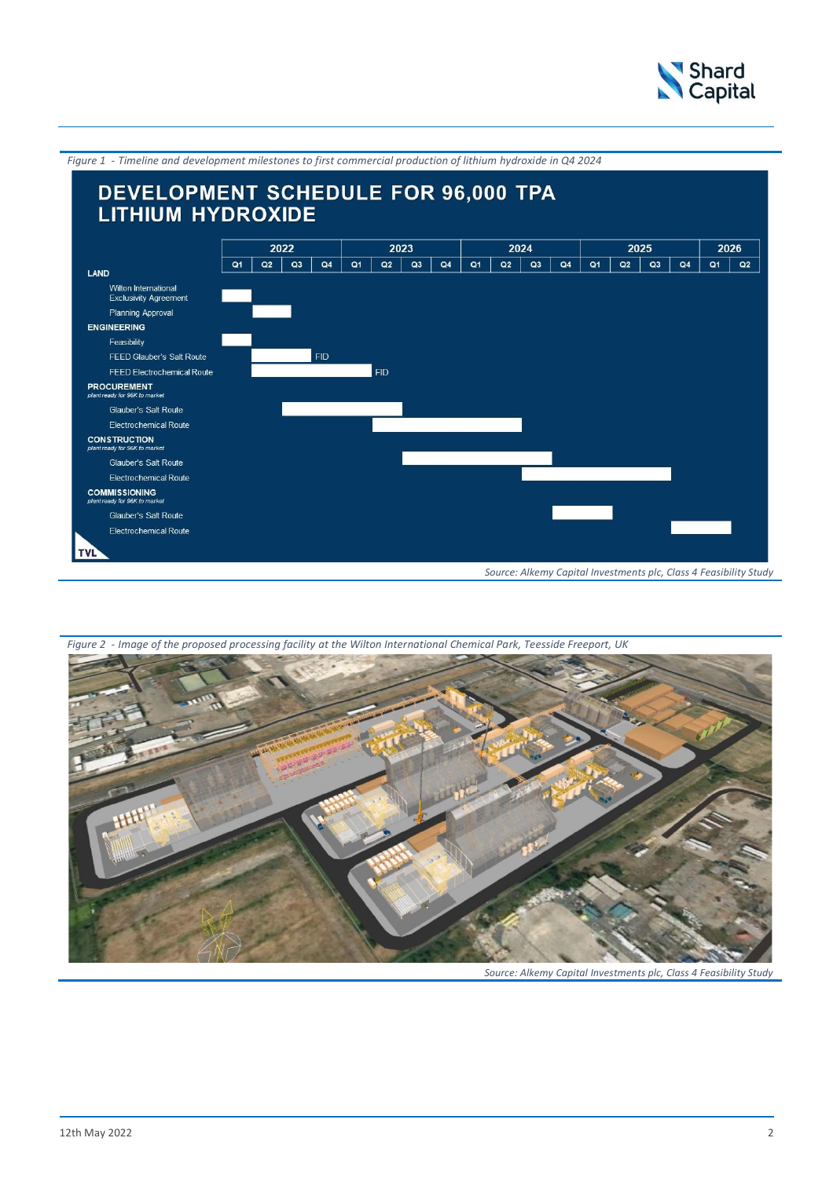

*Figure 1 - Timeline and development milestones to first commercial production of lithium hydroxide in Q4 2024* DEVELOPMENT SCHEDULE FOR 96,000 TPA **LITHIUM HYDROXIDE** 2022  $\overline{2023}$  $\overline{2024}$  $\overline{2025}$  $\overline{2026}$  $Q2$   $Q3$  $\overline{Q4}$  $Q2 \mid Q3$  $Q2$   $Q3$  $Q1$   $Q2$  $Q2$   $Q3$   $Q4$  $\overline{Q1}$  $\overline{Q_1}$  $Q4$  $Q1$  $Q4$  $Q<sub>1</sub>$ LAND Wilton International<br>Exclusivity Agreement Planning Approval ENGINEERING Feasibility FEED Glauber's Salt Route  $FID$ FID FEED Electrochemical Route **PROCUREMENT**<br>plant ready for 96K to man Glauber's Salt Route Electrochemical Route **CONSTRUCTION** Glauber's Salt Route Electrochemical Route **COMMISSIONING** Glauber's Salt Route Electrochemical Route **TVL** *Source: Alkemy Capital Investments plc, Class 4 Feasibility Study*



*Figure 2 - Image of the proposed processing facility at the Wilton International Chemical Park, Teesside Freeport, UK*

*Source: Alkemy Capital Investments plc, Class 4 Feasibility Study*